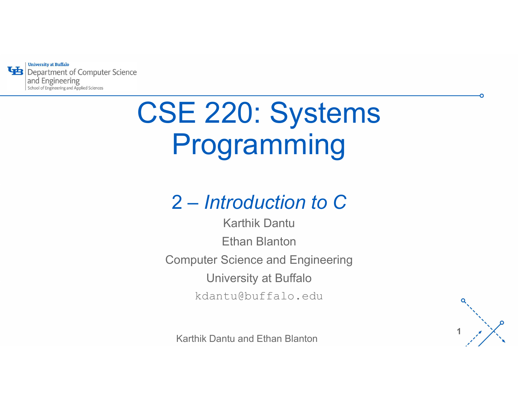

# CSE 220: Systems Programming

## 2 – Introduction to C

2 — *Introduction to C*<br>
Karthik Dantu<br>
Ethan Blanton<br>
pomputer Science and Engineering<br>
University at Buffalo<br>
kdantu@buffalo.edu<br>
Karthik Dantu and Ethan Blanton Karthik Dantu Ethan Blanton Computer Science and Engineering University at Buffalo kdantu@buffalo.edu

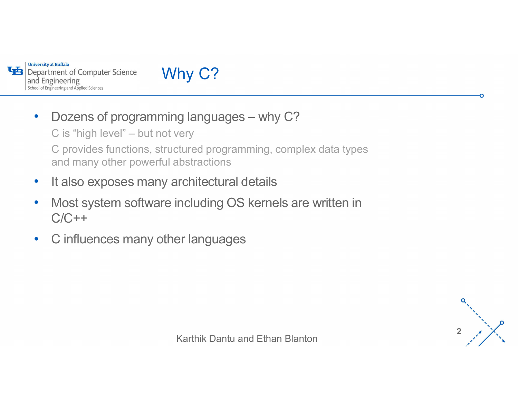

#### Why C?

• Dozens of programming languages – why C? C is "high level" – but not very C provides functions, structured programming, complex data types and many other powerful abstractions

- It also exposes many architectural details
- Most system software including OS kernels are written in rchitectural details<br>including OS kernels are written in<br>er languages<br>Karthik Dantu and Ethan Blanton  $C/C++$
- C influences many other languages

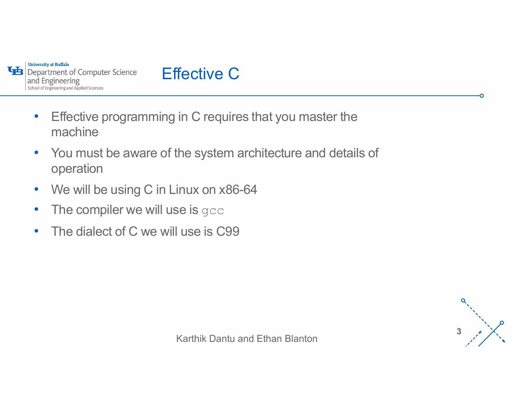



- Effective programming in C requires that you master the machine
- inux on x86-64<br>se is gcc<br>l use is C99<br>Karthik Dantu and Ethan Blanton • You must be aware of the system architecture and details of operation
- We will be using C in Linux on x86-64
- The compiler we will use is gcc
- The dialect of C we will use is C99

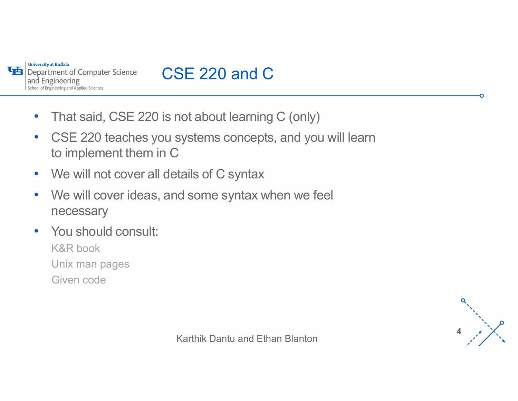

## CSE 220 and C

- That said, CSE 220 is not about learning C (only)
- CSE 220 teaches you systems concepts, and you will learn to implement them in C
- We will not cover all details of C syntax
- ' tails of C syntax<br>d some syntax when we feel<br>Karthik Dantu and Ethan Blanton • We will cover ideas, and some syntax when we feel necessary
- You should consult: K&R book Unix man pages Given code

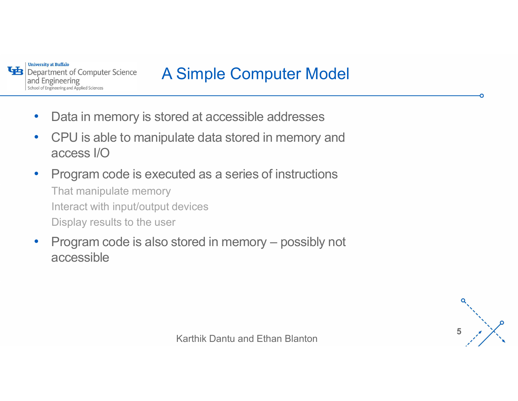

#### A Simple Computer Model

- Data in memory is stored at accessible addresses
- CPU is able to manipulate data stored in memory and access I/O
- Ievices<br>Karthik Dantu and Ethan Blanton<br>Karthik Dantu and Ethan Blanton • Program code is executed as a series of instructions That manipulate memory Interact with input/output devices Display results to the user • Data in memory is stored at accessible addresses<br>• CPU is able to manipulate data stored in memory and<br>access I/O<br>• Program code is executed as a series of instructions<br>That manipulate memory<br>Interact with input/output d
- accessible

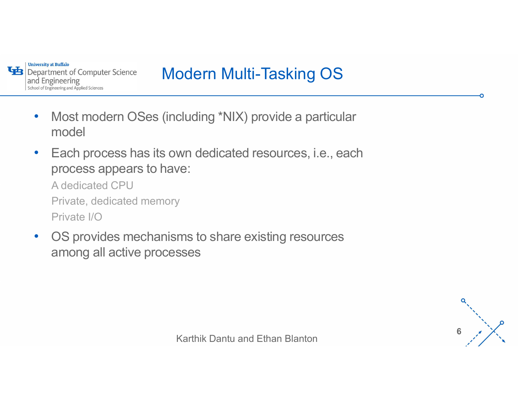

## Modern Multi-Tasking OS

- Most modern OSes (including \*NIX) provide a particular model
- Each process has its own dedicated resources, i.e., each process appears to have:

A dedicated CPU Private, dedicated memory Private I/O

ve.<br>
My<br>
Ims to share existing resources<br>
Sses<br>
Karthik Dantu and Ethan Blanton • OS provides mechanisms to share existing resources among all active processes

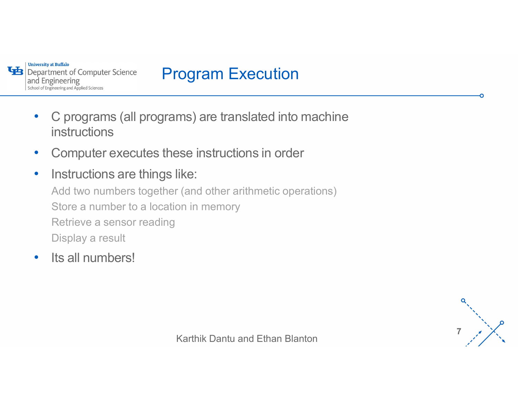

#### Program Execution

- C programs (all programs) are translated into machine instructions
- Computer executes these instructions in order
- ' like:<br>r (and other arithmetic operations)<br>on in memory<br>Karthik Dantu and Ethan Blanton • Instructions are things like: Add two numbers together (and other arithmetic operations) Store a number to a location in memory Retrieve a sensor reading Display a result
- Its all numbers!

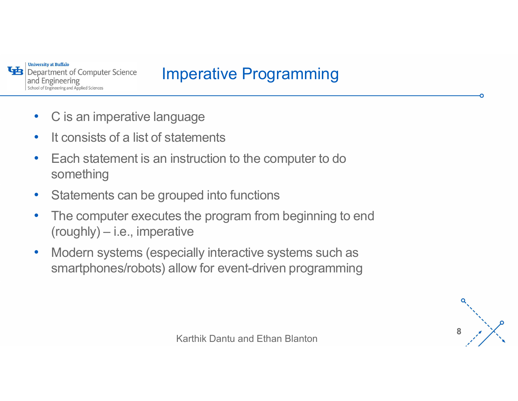

#### Imperative Programming

- C is an imperative language
- It consists of a list of statements
- Each statement is an instruction to the computer to do something ANNIIS<br>
Imperative Programmin<br>
Thereing<br>
C is an imperative language<br>
It consists of a list of statements<br>
Each statement is an instruction to the computer to<br>
something<br>
Statements can be grouped into functions<br>
The compu
- Statements can be grouped into functions
- uped into functions<br>s the program from beginning to end<br>tive<br>cially interactive systems such as<br>llow for event-driven programming<br>Karthik Dantu and Ethan Blanton • The computer executes the program from beginning to end
- Modern systems (especially interactive systems such as smartphones/robots) allow for event-driven programming

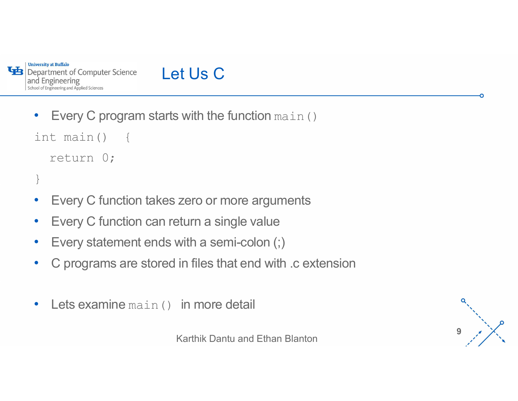

#### Let Us C

• Every C program starts with the function main ()

```
int main() {
  return 0;
```

```
}
```
- Every C function takes zero or more arguments
- Every C function can return a single value
- Every statement ends with a semi-colon (;)
- zero or more arguments<br>
Eturn a single value<br>
with a semi-colon (;)<br>
in files that end with .c extension<br>
in more detail<br>
Karthik Dantu and Ethan Blanton • C programs are stored in files that end with .c extension
- Lets examine main () in more detail

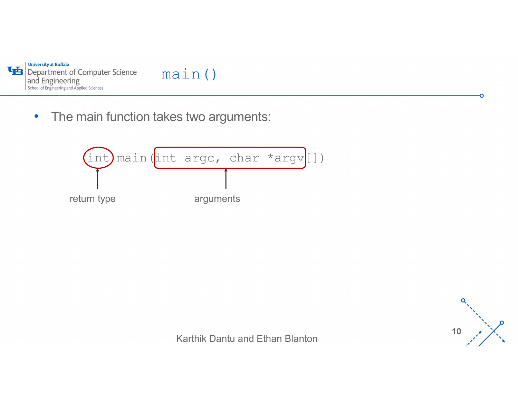

• The main function takes two arguments:





ດ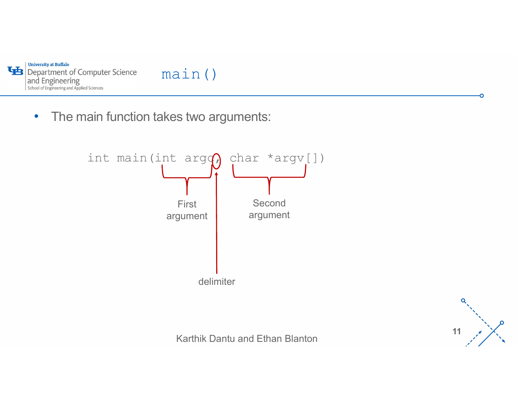

• The main function takes two arguments:





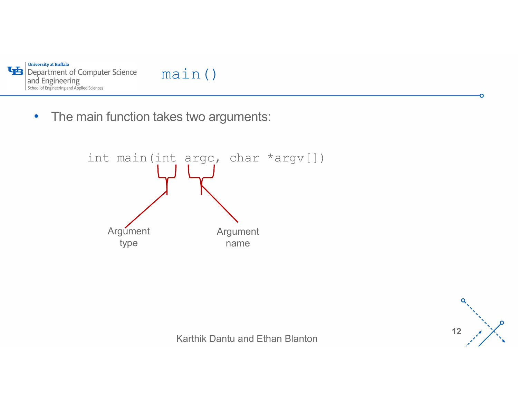

• The main function takes two arguments:





n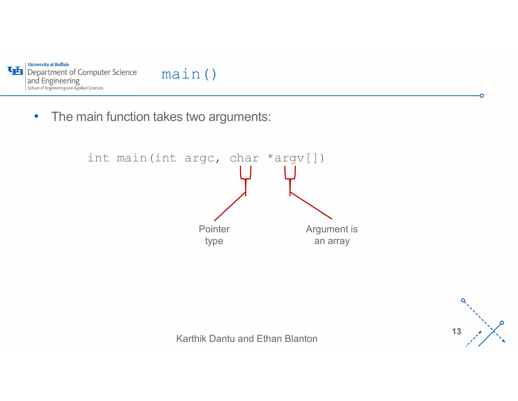

• The main function takes two arguments:



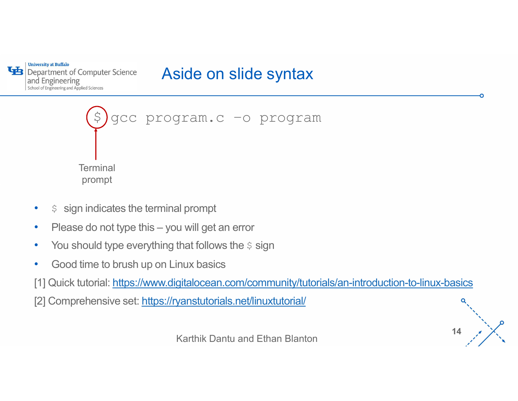#### Aside on slide syntax



- $$$  sign indicates the terminal prompt
- 
- You should type everything that follows the  $\frac{1}{2}$  sign
- Good time to brush up on Linux basics

[1] Quick tutorial: https://www.digitalocean.com/community/tutorials/an-introduction-to-linux-basics

[2] Comprehensive set: https://ryanstutorials.net/linuxtutorial/

14  $\lambda$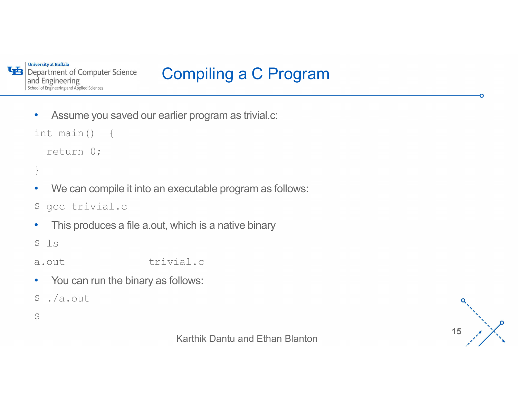

## Compiling a C Program

• Assume you saved our earlier program as trivial.c:

int main() {

```
return 0;
```

```
}
```
Marthich is a native binary<br>Mich is a native binary<br>Marthik Dantu and Ethan Blanton<br>Karthik Dantu and Ethan Blanton • We can compile it into an executable program as follows: • Assume you saved our earlier program as trivial.c:<br>
int main () {<br>
return 0;<br>
}<br>
• We can compile it into an executable program as follows:<br>  $\frac{1}{2}$  executivial.c<br>
• This produces a file a.out, which is a native binary

• This produces a file a.out, which is a native binary

 $$ 1s$ 

- 
- You can run the binary as follows:
- \$ ./a.out
- $\sharp$